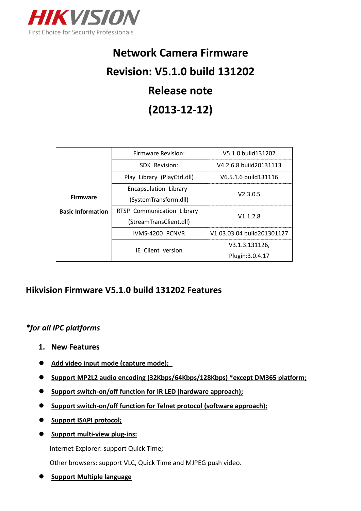

# **Network Camera Firmware Revision: V5.1.0 build 131202 Release note**

**(2013-12-12)**

| <b>Firmware</b>          | Firmware Revision:          | V5.1.0 build 131202         |  |
|--------------------------|-----------------------------|-----------------------------|--|
|                          | <b>SDK Revision:</b>        | V4.2.6.8 build 20131113     |  |
|                          | Play Library (PlayCtrl.dll) | V6.5.1.6 build 131116       |  |
|                          | Encapsulation Library       | V2.3.0.5                    |  |
|                          | (SystemTransform.dll)       |                             |  |
| <b>Basic Information</b> | RTSP Communication Library  | V1.1.2.8                    |  |
|                          | (StreamTransClient.dll)     |                             |  |
|                          | iVMS-4200 PCNVR             | V1.03.03.04 build 201301127 |  |
|                          | IF Client version           | V3.1.3.131126.              |  |
|                          |                             | Plugin: 3.0.4.17            |  |

## **Hikvision Firmware V5.1.0 build 131202 Features**

## *\*for all IPC platforms*

- **1. New Features**
- **Add video input mode (capture mode);**
- **Support MP2L2 audio encoding (32Kbps/64Kbps/128Kbps) \*except DM365 platform;**
- **Support switch-on/off function for IR LED (hardware approach);**
- **Support switch-on/off function for Telnet protocol (software approach);**
- $\bullet$  Support ISAPI protocol;
- **Support multi-view plug-ins:**

Internet Explorer: support Quick Time;

Other browsers: support VLC, Quick Time and MJPEG push video.

**Support Multiple language**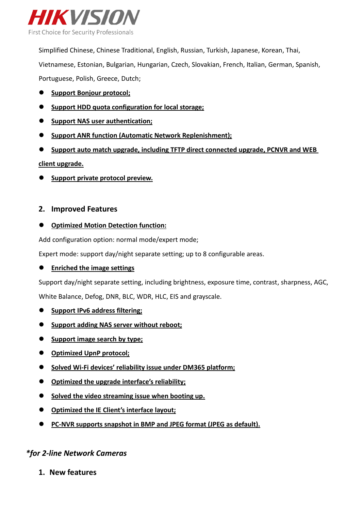

Simplified Chinese, Chinese Traditional, English, Russian, Turkish, Japanese, Korean, Thai,

Vietnamese, Estonian, Bulgarian, Hungarian, Czech, Slovakian, French, Italian, German, Spanish,

Portuguese, Polish, Greece, Dutch;

- **Support Bonjour protocol;**
- **Support HDD quota configuration for local storage;**
- **•** Support NAS user authentication;
- **Support ANR function (Automatic Network Replenishment);**
- **Support auto match upgrade, including TFTP direct connected upgrade, PCNVR and WEB client upgrade.**
- **Support private protocol preview.**

## **2. Improved Features**

## **Optimized Motion Detection function:**

Add configuration option: normal mode/expert mode;

Expert mode: support day/night separate setting; up to 8 configurable areas.

#### **Enriched the image settings**

Support day/night separate setting, including brightness, exposure time, contrast, sharpness, AGC,

White Balance, Defog, DNR, BLC, WDR, HLC, EIS and grayscale.

- **Support IPv6 address filtering;**
- **Support adding NAS server without reboot;**
- **Support image search by type;**
- **Optimized UpnP protocol;**
- **Solved Wi-Fi devices' reliability issue under DM365 platform;**
- **Optimized the upgrade interface's reliability;**
- **•** Solved the video streaming issue when booting up.
- **Optimized the IE Client's interface layout;**
- **PC-NVR supports snapshot in BMP and JPEG format (JPEG as default).**

## *\*for 2-line Network Cameras*

**1. New features**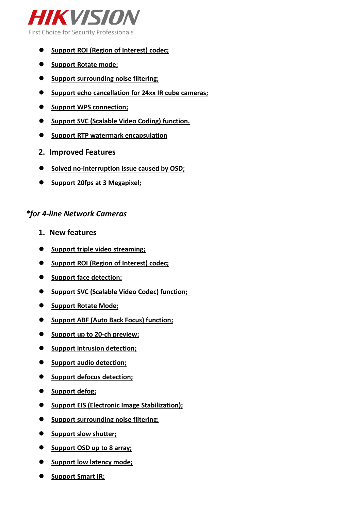

- **Support ROI (Region of Interest) codec;**
- **Support Rotate mode;**
- **Support surrounding noise filtering;**
- **Support echo cancellation for 24xx IR cube cameras;**
- **Support WPS connection;**
- **Support SVC (Scalable Video Coding) function.**
- **Support RTP watermark encapsulation**
- **2. Improved Features**
- **Solved no-interruption issue caused by OSD;**
- **Support 20fps at 3 Megapixel;**

## *\*for 4-line Network Cameras*

- **1. New features**
- **Support triple video streaming;**
- **Support ROI (Region of Interest) codec;**
- **Support face detection;**
- **Support SVC (Scalable Video Codec) function;**
- **Support Rotate Mode;**
- **Support ABF (Auto Back Focus) function;**
- **Support up to 20-ch preview;**
- $\bullet$  Support intrusion detection;
- **Support audio detection;**
- **Support defocus detection;**
- **Support defog;**
- **Support EIS (Electronic Image Stabilization);**
- **Support surrounding noise filtering;**
- **Support slow shutter;**
- **Support OSD up to 8 array;**
- **Support low latency mode;**
- **Support Smart IR;**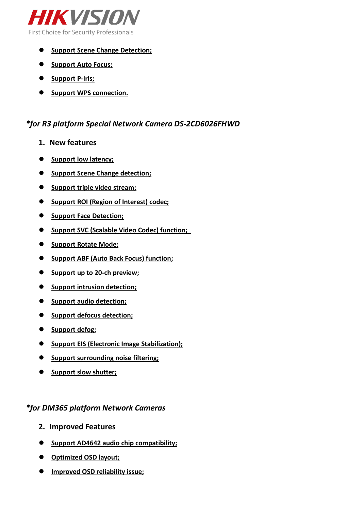

- $\bullet$  Support Scene Change Detection;
- **Support Auto Focus;**
- **Support P-Iris;**
- **Support WPS connection.**

## *\*for R3 platform Special Network Camera DS-2CD6026FHWD*

- **1. New features**
- **Support low latency;**
- **Support Scene Change detection;**
- **Support triple video stream;**
- **Support ROI (Region of Interest) codec;**
- **Support Face Detection;**
- **Support SVC (Scalable Video Codec) function;**
- **Support Rotate Mode;**
- **Support ABF (Auto Back Focus) function;**
- **Support up to 20-ch preview;**
- **Support intrusion detection;**
- $\bullet$  Support audio detection;
- **Support defocus detection;**
- **Support defog;**
- **Support EIS (Electronic Image Stabilization);**
- **Support surrounding noise filtering;**
- **Support slow shutter;**

## *\*for DM365 platform Network Cameras*

- **2. Improved Features**
- **Support AD4642 audio chip compatibility;**
- **Optimized OSD layout;**
- **Improved OSD reliability issue;**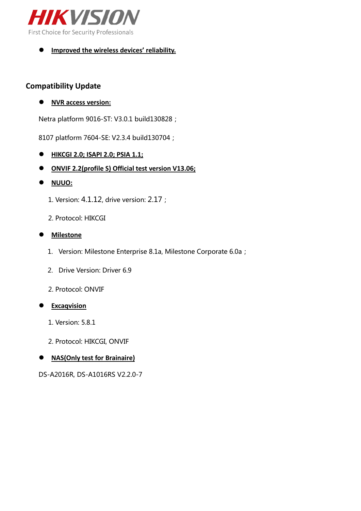

**Improved the wireless devices' reliability.**

## **Compatibility Update**

## **NVR access version:**

Netra platform 9016-ST: V3.0.1 build130828;

8107 platform 7604-SE: V2.3.4 build130704;

- **HIKCGI 2.0; ISAPI 2.0; PSIA 1.1;**
- **ONVIF 2.2(profile S) Official test version V13.06;**
- **NUUO:**
	- 1. Version: 4.1.12, drive version: 2.17;
	- 2. Protocol: HIKCGI

#### **Milestone**

- 1. Version: Milestone Enterprise 8.1a, Milestone Corporate 6.0a;
- 2. Drive Version: Driver 6.9
- 2. Protocol: ONVIF

#### **Excaqvision**

- 1. Version: 5.8.1
- 2. Protocol: HIKCGI, ONVIF

## **NAS(Only test for Brainaire)**

DS-A2016R, DS-A1016RS V2.2.0-7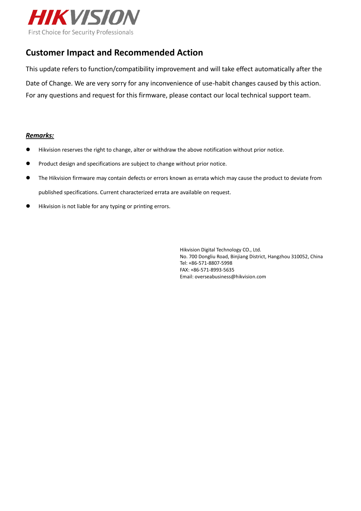

## **Customer Impact and Recommended Action**

This update refers to function/compatibility improvement and will take effect automatically after the

Date of Change. We are very sorry for any inconvenience of use-habit changes caused by this action. For any questions and request for this firmware, please contact our local technical support team.

#### *Remarks:*

- Hikvision reserves the right to change, alter or withdraw the above notification without prior notice.
- **•** Product design and specifications are subject to change without prior notice.
- The Hikvision firmware may contain defects or errors known as errata which may cause the product to deviate from published specifications. Current characterized errata are available on request.
- Hikvision is not liable for any typing or printing errors.

Hikvision Digital Technology CO., Ltd. No. 700 Dongliu Road, Binjiang District, Hangzhou 310052, China Tel: +86-571-8807-5998 FAX: +86-571-8993-5635 Email: overseabusiness@hikvision.com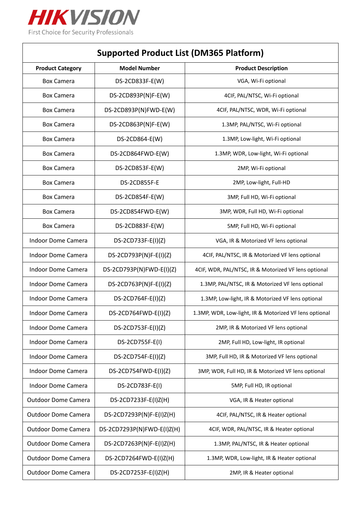

| <b>Supported Product List (DM365 Platform)</b> |                            |                                                        |
|------------------------------------------------|----------------------------|--------------------------------------------------------|
| <b>Product Category</b>                        | <b>Model Number</b>        | <b>Product Description</b>                             |
| <b>Box Camera</b>                              | DS-2CD833F-E(W)            | VGA, Wi-Fi optional                                    |
| <b>Box Camera</b>                              | DS-2CD893P(N)F-E(W)        | 4CIF, PAL/NTSC, Wi-Fi optional                         |
| <b>Box Camera</b>                              | DS-2CD893P(N)FWD-E(W)      | 4CIF, PAL/NTSC, WDR, Wi-Fi optional                    |
| <b>Box Camera</b>                              | DS-2CD863P(N)F-E(W)        | 1.3MP, PAL/NTSC, Wi-Fi optional                        |
| <b>Box Camera</b>                              | DS-2CD864-E(W)             | 1.3MP, Low-light, Wi-Fi optional                       |
| <b>Box Camera</b>                              | DS-2CD864FWD-E(W)          | 1.3MP, WDR, Low-light, Wi-Fi optional                  |
| <b>Box Camera</b>                              | DS-2CD853F-E(W)            | 2MP, Wi-Fi optional                                    |
| <b>Box Camera</b>                              | DS-2CD855F-E               | 2MP, Low-light, Full-HD                                |
| <b>Box Camera</b>                              | DS-2CD854F-E(W)            | 3MP, Full HD, Wi-Fi optional                           |
| <b>Box Camera</b>                              | DS-2CD854FWD-E(W)          | 3MP, WDR, Full HD, Wi-Fi optional                      |
| <b>Box Camera</b>                              | DS-2CD883F-E(W)            | 5MP, Full HD, Wi-Fi optional                           |
| <b>Indoor Dome Camera</b>                      | DS-2CD733F-E(I)(Z)         | VGA, IR & Motorized VF lens optional                   |
| <b>Indoor Dome Camera</b>                      | DS-2CD793P(N)F-E(I)(Z)     | 4CIF, PAL/NTSC, IR & Motorized VF lens optional        |
| <b>Indoor Dome Camera</b>                      | DS-2CD793P(N)FWD-E(I)(Z)   | 4CIF, WDR, PAL/NTSC, IR & Motorized VF lens optional   |
| <b>Indoor Dome Camera</b>                      | DS-2CD763P(N)F-E(I)(Z)     | 1.3MP, PAL/NTSC, IR & Motorized VF lens optional       |
| <b>Indoor Dome Camera</b>                      | DS-2CD764F-E(I)(Z)         | 1.3MP, Low-light, IR & Motorized VF lens optional      |
| <b>Indoor Dome Camera</b>                      | DS-2CD764FWD-E(I)(Z)       | 1.3MP, WDR, Low-light, IR & Motorized VF lens optional |
| <b>Indoor Dome Camera</b>                      | DS-2CD753F-E(I)(Z)         | 2MP, IR & Motorized VF lens optional                   |
| <b>Indoor Dome Camera</b>                      | DS-2CD755F-E(I)            | 2MP, Full HD, Low-light, IR optional                   |
| <b>Indoor Dome Camera</b>                      | DS-2CD754F-E(I)(Z)         | 3MP, Full HD, IR & Motorized VF lens optional          |
| <b>Indoor Dome Camera</b>                      | DS-2CD754FWD-E(I)(Z)       | 3MP, WDR, Full HD, IR & Motorized VF lens optional     |
| Indoor Dome Camera                             | DS-2CD783F-E(I)            | 5MP, Full HD, IR optional                              |
| <b>Outdoor Dome Camera</b>                     | DS-2CD7233F-E(I)Z(H)       | VGA, IR & Heater optional                              |
| <b>Outdoor Dome Camera</b>                     | DS-2CD7293P(N)F-E(I)Z(H)   | 4CIF, PAL/NTSC, IR & Heater optional                   |
| <b>Outdoor Dome Camera</b>                     | DS-2CD7293P(N)FWD-E(I)Z(H) | 4CIF, WDR, PAL/NTSC, IR & Heater optional              |
| <b>Outdoor Dome Camera</b>                     | DS-2CD7263P(N)F-E(I)Z(H)   | 1.3MP, PAL/NTSC, IR & Heater optional                  |
| <b>Outdoor Dome Camera</b>                     | DS-2CD7264FWD-E(I)Z(H)     | 1.3MP, WDR, Low-light, IR & Heater optional            |
| <b>Outdoor Dome Camera</b>                     | DS-2CD7253F-E(I)Z(H)       | 2MP, IR & Heater optional                              |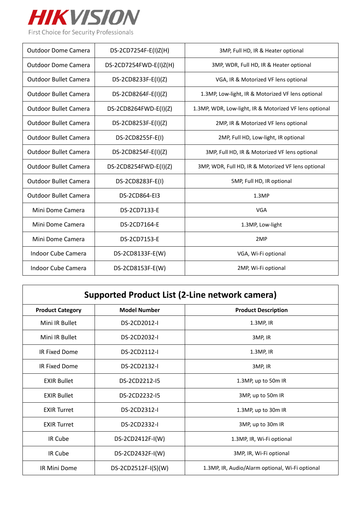

First Choice for Security Professionals

| <b>Outdoor Dome Camera</b>   | DS-2CD7254F-E(I)Z(H)   | 3MP, Full HD, IR & Heater optional                     |
|------------------------------|------------------------|--------------------------------------------------------|
| <b>Outdoor Dome Camera</b>   | DS-2CD7254FWD-E(I)Z(H) | 3MP, WDR, Full HD, IR & Heater optional                |
| <b>Outdoor Bullet Camera</b> | DS-2CD8233F-E(I)(Z)    | VGA, IR & Motorized VF lens optional                   |
| <b>Outdoor Bullet Camera</b> | DS-2CD8264F-E(I)(Z)    | 1.3MP, Low-light, IR & Motorized VF lens optional      |
| <b>Outdoor Bullet Camera</b> | DS-2CD8264FWD-E(I)(Z)  | 1.3MP, WDR, Low-light, IR & Motorized VF lens optional |
| <b>Outdoor Bullet Camera</b> | DS-2CD8253F-E(I)(Z)    | 2MP, IR & Motorized VF lens optional                   |
| <b>Outdoor Bullet Camera</b> | DS-2CD8255F-E(I)       | 2MP, Full HD, Low-light, IR optional                   |
| <b>Outdoor Bullet Camera</b> | DS-2CD8254F-E(I)(Z)    | 3MP, Full HD, IR & Motorized VF lens optional          |
| <b>Outdoor Bullet Camera</b> | DS-2CD8254FWD-E(I)(Z)  | 3MP, WDR, Full HD, IR & Motorized VF lens optional     |
| <b>Outdoor Bullet Camera</b> | DS-2CD8283F-E(I)       | 5MP, Full HD, IR optional                              |
| <b>Outdoor Bullet Camera</b> | DS-2CD864-EI3          | 1.3MP                                                  |
| Mini Dome Camera             | DS-2CD7133-E           | <b>VGA</b>                                             |
| Mini Dome Camera             | DS-2CD7164-E           | 1.3MP, Low-light                                       |
| Mini Dome Camera             | DS-2CD7153-E           | 2MP                                                    |
| <b>Indoor Cube Camera</b>    | DS-2CD8133F-E(W)       | VGA, Wi-Fi optional                                    |
| <b>Indoor Cube Camera</b>    | DS-2CD8153F-E(W)       | 2MP, Wi-Fi optional                                    |

| <b>Supported Product List (2-Line network camera)</b> |                     |                                                 |
|-------------------------------------------------------|---------------------|-------------------------------------------------|
| <b>Product Category</b>                               | <b>Model Number</b> | <b>Product Description</b>                      |
| Mini IR Bullet                                        | DS-2CD2012-I        | 1.3MP, IR                                       |
| Mini IR Bullet                                        | DS-2CD2032-I        | 3MP, IR                                         |
| <b>IR Fixed Dome</b>                                  | DS-2CD2112-I        | 1.3MP, IR                                       |
| <b>IR Fixed Dome</b>                                  | DS-2CD2132-I        | 3MP, IR                                         |
| <b>EXIR Bullet</b>                                    | DS-2CD2212-15       | 1.3MP, up to 50m IR                             |
| <b>EXIR Bullet</b>                                    | DS-2CD2232-15       | 3MP, up to 50m IR                               |
| <b>EXIR Turret</b>                                    | DS-2CD2312-I        | 1.3MP, up to 30m IR                             |
| <b>EXIR Turret</b>                                    | DS-2CD2332-I        | 3MP, up to 30m IR                               |
| IR Cube                                               | DS-2CD2412F-I(W)    | 1.3MP, IR, Wi-Fi optional                       |
| IR Cube                                               | DS-2CD2432F-I(W)    | 3MP, IR, Wi-Fi optional                         |
| <b>IR Mini Dome</b>                                   | DS-2CD2512F-I(S)(W) | 1.3MP, IR, Audio/Alarm optional, Wi-Fi optional |